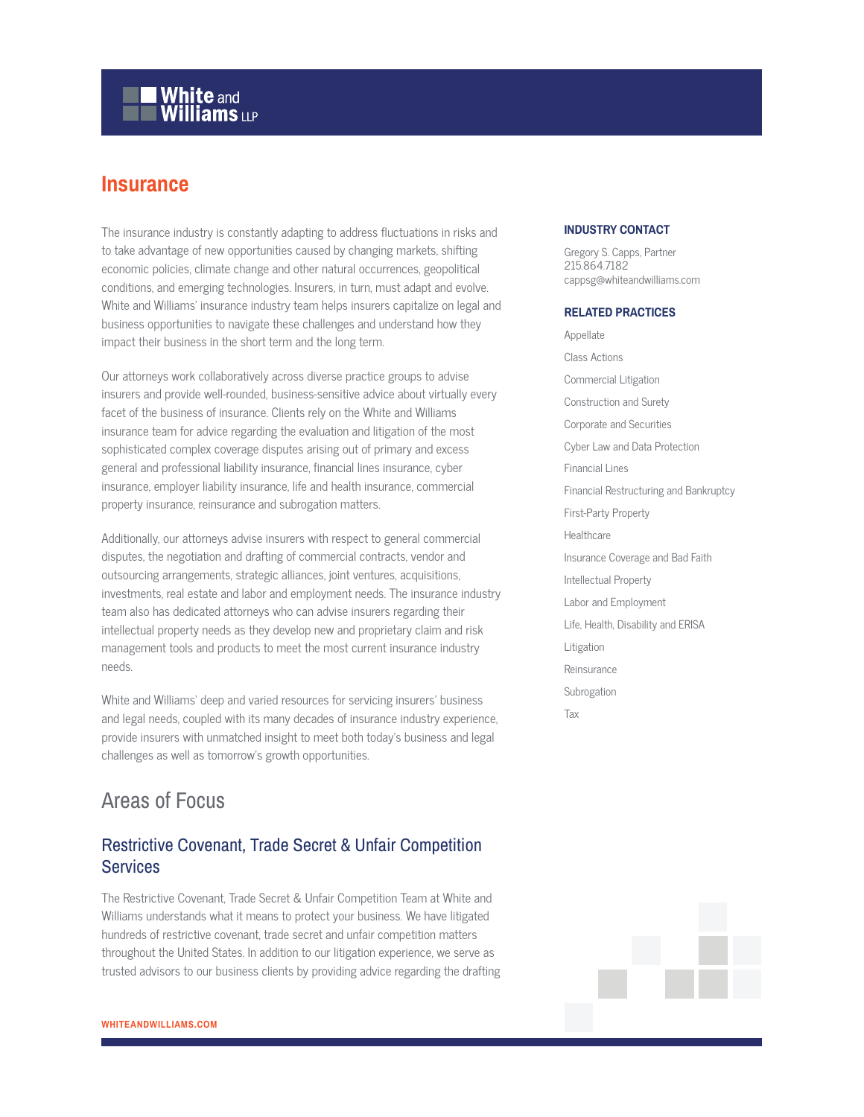# **White and Williams LLP**

# **Insurance**

The insurance industry is constantly adapting to address fluctuations in risks and to take advantage of new opportunities caused by changing markets, shifting economic policies, climate change and other natural occurrences, geopolitical conditions, and emerging technologies. Insurers, in turn, must adapt and evolve. White and Williams' insurance industry team helps insurers capitalize on legal and business opportunities to navigate these challenges and understand how they impact their business in the short term and the long term.

Our attorneys work collaboratively across diverse practice groups to advise insurers and provide well-rounded, business-sensitive advice about virtually every facet of the business of insurance. Clients rely on the White and Williams insurance team for advice regarding the evaluation and litigation of the most sophisticated complex coverage disputes arising out of primary and excess general and professional liability insurance, financial lines insurance, cyber insurance, employer liability insurance, life and health insurance, commercial property insurance, reinsurance and subrogation matters.

Additionally, our attorneys advise insurers with respect to general commercial disputes, the negotiation and drafting of commercial contracts, vendor and outsourcing arrangements, strategic alliances, joint ventures, acquisitions, investments, real estate and labor and employment needs. The insurance industry team also has dedicated attorneys who can advise insurers regarding their intellectual property needs as they develop new and proprietary claim and risk management tools and products to meet the most current insurance industry needs.

White and Williams' deep and varied resources for servicing insurers' business and legal needs, coupled with its many decades of insurance industry experience, provide insurers with unmatched insight to meet both today's business and legal challenges as well as tomorrow's growth opportunities.

# Areas of Focus

### Restrictive Covenant, Trade Secret & Unfair Competition **Services**

The Restrictive Covenant, Trade Secret & Unfair Competition Team at White and Williams understands what it means to protect your business. We have litigated hundreds of restrictive covenant, trade secret and unfair competition matters throughout the United States. In addition to our litigation experience, we serve as trusted advisors to our business clients by providing advice regarding the drafting

#### **INDUSTRY CONTACT**

Gregory S. Capps, Partner 215.864.7182 cappsg@whiteandwilliams.com

#### **RELATED PRACTICES**

Appellate Class Actions Commercial Litigation Construction and Surety Corporate and Securities Cyber Law and Data Protection Financial Lines Financial Restructuring and Bankruptcy First-Party Property **Healthcare** Insurance Coverage and Bad Faith Intellectual Property Labor and Employment Life, Health, Disability and ERISA Litigation Reinsurance Subrogation Tax

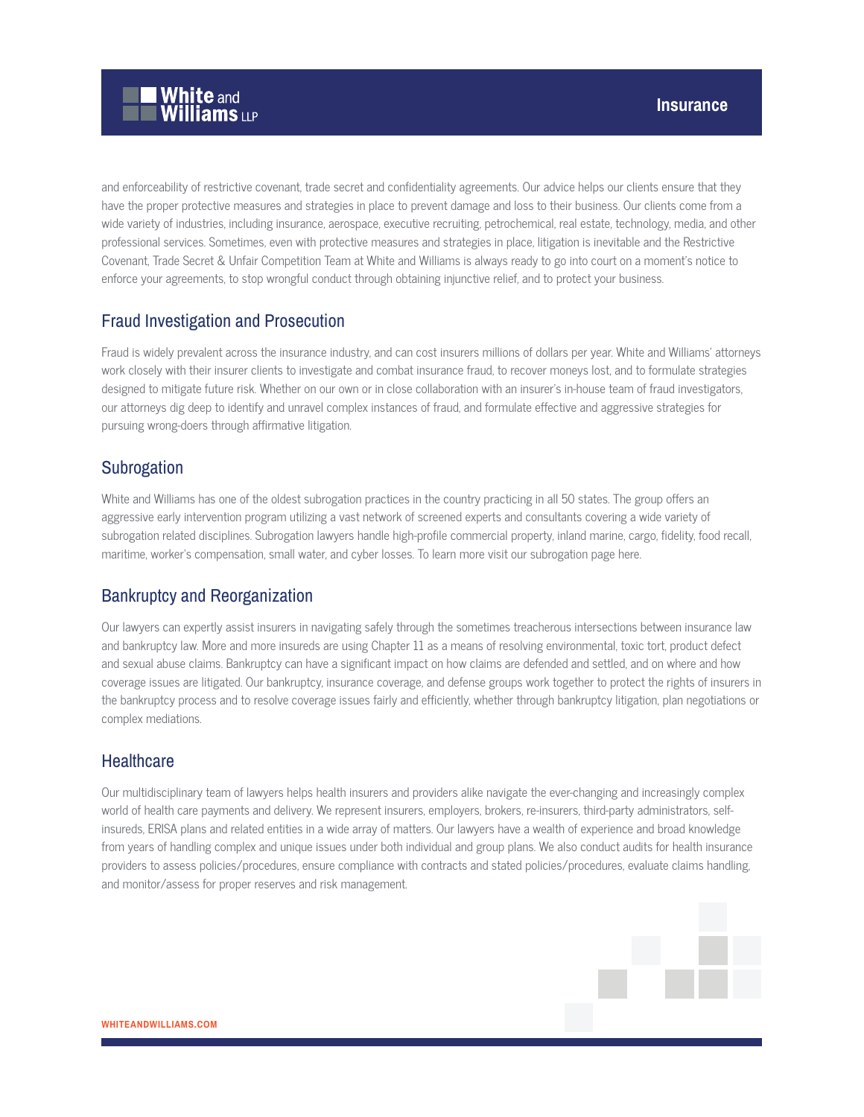

and enforceability of restrictive covenant, trade secret and confidentiality agreements. Our advice helps our clients ensure that they have the proper protective measures and strategies in place to prevent damage and loss to their business. Our clients come from a wide variety of industries, including insurance, aerospace, executive recruiting, petrochemical, real estate, technology, media, and other professional services. Sometimes, even with protective measures and strategies in place, litigation is inevitable and the Restrictive Covenant, Trade Secret & Unfair Competition Team at White and Williams is always ready to go into court on a moment's notice to enforce your agreements, to stop wrongful conduct through obtaining injunctive relief, and to protect your business.

### Fraud Investigation and Prosecution

Fraud is widely prevalent across the insurance industry, and can cost insurers millions of dollars per year. White and Williams' attorneys work closely with their insurer clients to investigate and combat insurance fraud, to recover moneys lost, and to formulate strategies designed to mitigate future risk. Whether on our own or in close collaboration with an insurer's in-house team of fraud investigators, our attorneys dig deep to identify and unravel complex instances of fraud, and formulate effective and aggressive strategies for pursuing wrong-doers through affirmative litigation.

### **Subrogation**

White and Williams has one of the oldest subrogation practices in the country practicing in all 50 states. The group offers an aggressive early intervention program utilizing a vast network of screened experts and consultants covering a wide variety of subrogation related disciplines. Subrogation lawyers handle high-profile commercial property, inland marine, cargo, fidelity, food recall, maritime, worker's compensation, small water, and cyber losses. To learn more visit our subrogation page here.

## Bankruptcy and Reorganization

Our lawyers can expertly assist insurers in navigating safely through the sometimes treacherous intersections between insurance law and bankruptcy law. More and more insureds are using Chapter 11 as a means of resolving environmental, toxic tort, product defect and sexual abuse claims. Bankruptcy can have a significant impact on how claims are defended and settled, and on where and how coverage issues are litigated. Our bankruptcy, insurance coverage, and defense groups work together to protect the rights of insurers in the bankruptcy process and to resolve coverage issues fairly and efficiently, whether through bankruptcy litigation, plan negotiations or complex mediations.

#### **Healthcare**

Our multidisciplinary team of lawyers helps health insurers and providers alike navigate the ever-changing and increasingly complex world of health care payments and delivery. We represent insurers, employers, brokers, re-insurers, third-party administrators, selfinsureds, ERISA plans and related entities in a wide array of matters. Our lawyers have a wealth of experience and broad knowledge from years of handling complex and unique issues under both individual and group plans. We also conduct audits for health insurance providers to assess policies/procedures, ensure compliance with contracts and stated policies/procedures, evaluate claims handling, and monitor/assess for proper reserves and risk management.

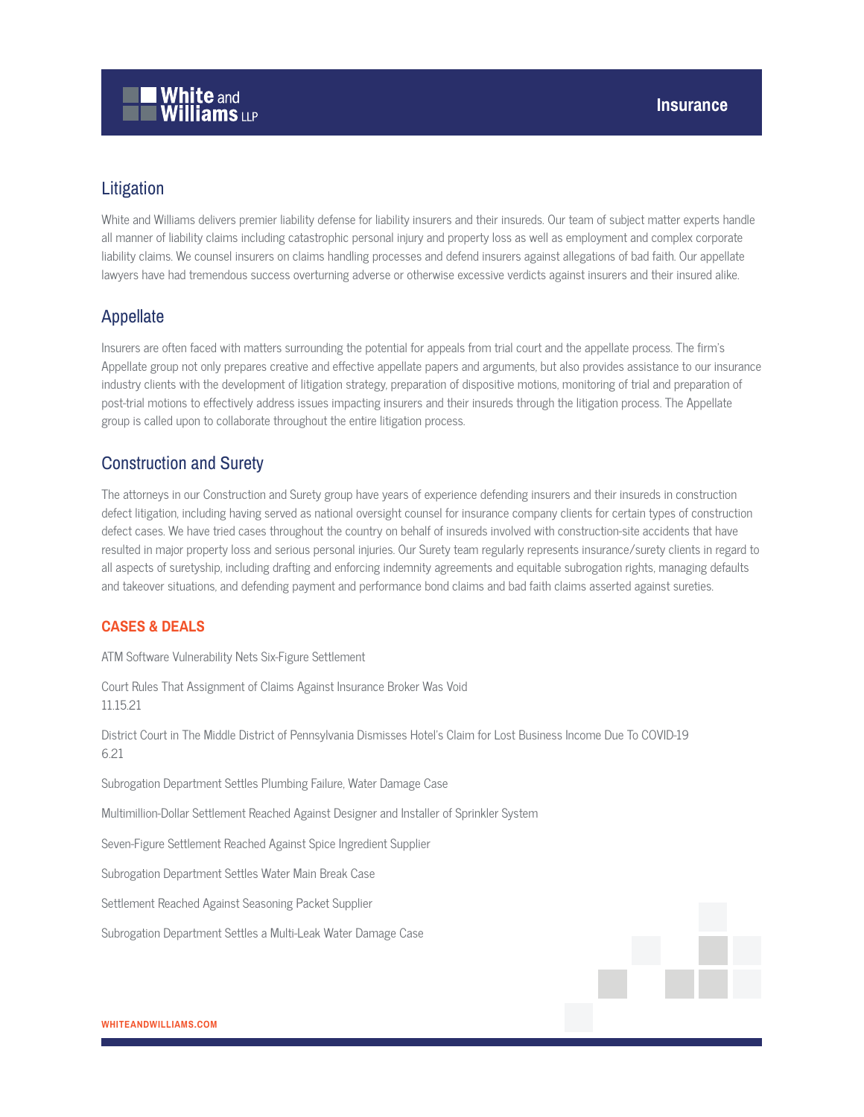# Litigation

White and Williams delivers premier liability defense for liability insurers and their insureds. Our team of subject matter experts handle all manner of liability claims including catastrophic personal injury and property loss as well as employment and complex corporate liability claims. We counsel insurers on claims handling processes and defend insurers against allegations of bad faith. Our appellate lawyers have had tremendous success overturning adverse or otherwise excessive verdicts against insurers and their insured alike.

### Appellate

Insurers are often faced with matters surrounding the potential for appeals from trial court and the appellate process. The firm's Appellate group not only prepares creative and effective appellate papers and arguments, but also provides assistance to our insurance industry clients with the development of litigation strategy, preparation of dispositive motions, monitoring of trial and preparation of post-trial motions to effectively address issues impacting insurers and their insureds through the litigation process. The Appellate group is called upon to collaborate throughout the entire litigation process.

## Construction and Surety

The attorneys in our Construction and Surety group have years of experience defending insurers and their insureds in construction defect litigation, including having served as national oversight counsel for insurance company clients for certain types of construction defect cases. We have tried cases throughout the country on behalf of insureds involved with construction-site accidents that have resulted in major property loss and serious personal injuries. Our Surety team regularly represents insurance/surety clients in regard to all aspects of suretyship, including drafting and enforcing indemnity agreements and equitable subrogation rights, managing defaults and takeover situations, and defending payment and performance bond claims and bad faith claims asserted against sureties.

#### **CASES & DEALS**

ATM Software Vulnerability Nets Six-Figure Settlement

Court Rules That Assignment of Claims Against Insurance Broker Was Void 11.15.21 District Court in The Middle District of Pennsylvania Dismisses Hotel's Claim for Lost Business Income Due To COVID-19 6.21 Subrogation Department Settles Plumbing Failure, Water Damage Case Multimillion-Dollar Settlement Reached Against Designer and Installer of Sprinkler System Seven-Figure Settlement Reached Against Spice Ingredient Supplier Subrogation Department Settles Water Main Break Case Settlement Reached Against Seasoning Packet Supplier Subrogation Department Settles a Multi-Leak Water Damage Case

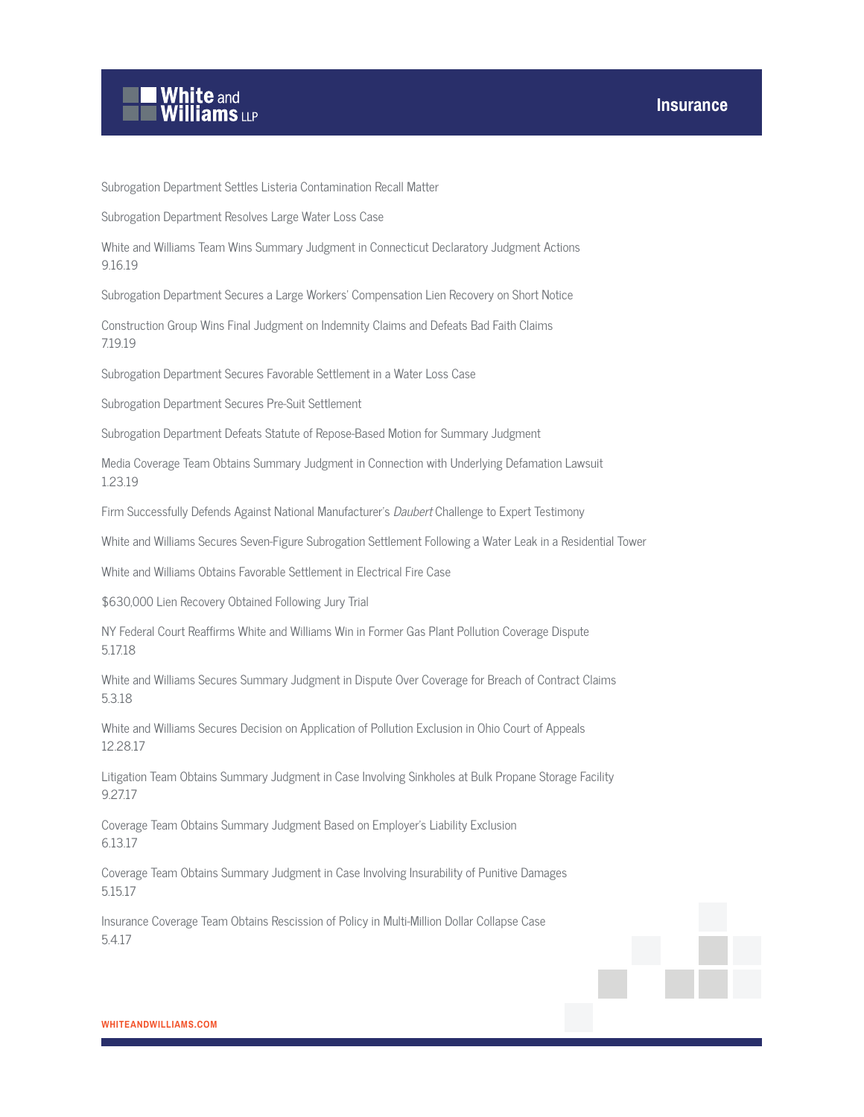

Subrogation Department Settles Listeria Contamination Recall Matter

Subrogation Department Resolves Large Water Loss Case

White and Williams Team Wins Summary Judgment in Connecticut Declaratory Judgment Actions 9.16.19

Subrogation Department Secures a Large Workers' Compensation Lien Recovery on Short Notice

Construction Group Wins Final Judgment on Indemnity Claims and Defeats Bad Faith Claims 7.19.19

Subrogation Department Secures Favorable Settlement in a Water Loss Case

Subrogation Department Secures Pre-Suit Settlement

Subrogation Department Defeats Statute of Repose-Based Motion for Summary Judgment

Media Coverage Team Obtains Summary Judgment in Connection with Underlying Defamation Lawsuit 1.23.19

Firm Successfully Defends Against National Manufacturer's Daubert Challenge to Expert Testimony

White and Williams Secures Seven-Figure Subrogation Settlement Following a Water Leak in a Residential Tower

White and Williams Obtains Favorable Settlement in Electrical Fire Case

\$630,000 Lien Recovery Obtained Following Jury Trial

NY Federal Court Reaffirms White and Williams Win in Former Gas Plant Pollution Coverage Dispute 5.17.18

White and Williams Secures Summary Judgment in Dispute Over Coverage for Breach of Contract Claims 5.3.18

White and Williams Secures Decision on Application of Pollution Exclusion in Ohio Court of Appeals 12.28.17

Litigation Team Obtains Summary Judgment in Case Involving Sinkholes at Bulk Propane Storage Facility 9.27.17

Coverage Team Obtains Summary Judgment Based on Employer's Liability Exclusion 6.13.17

Coverage Team Obtains Summary Judgment in Case Involving Insurability of Punitive Damages 5.15.17

Insurance Coverage Team Obtains Rescission of Policy in Multi-Million Dollar Collapse Case 5.4.17

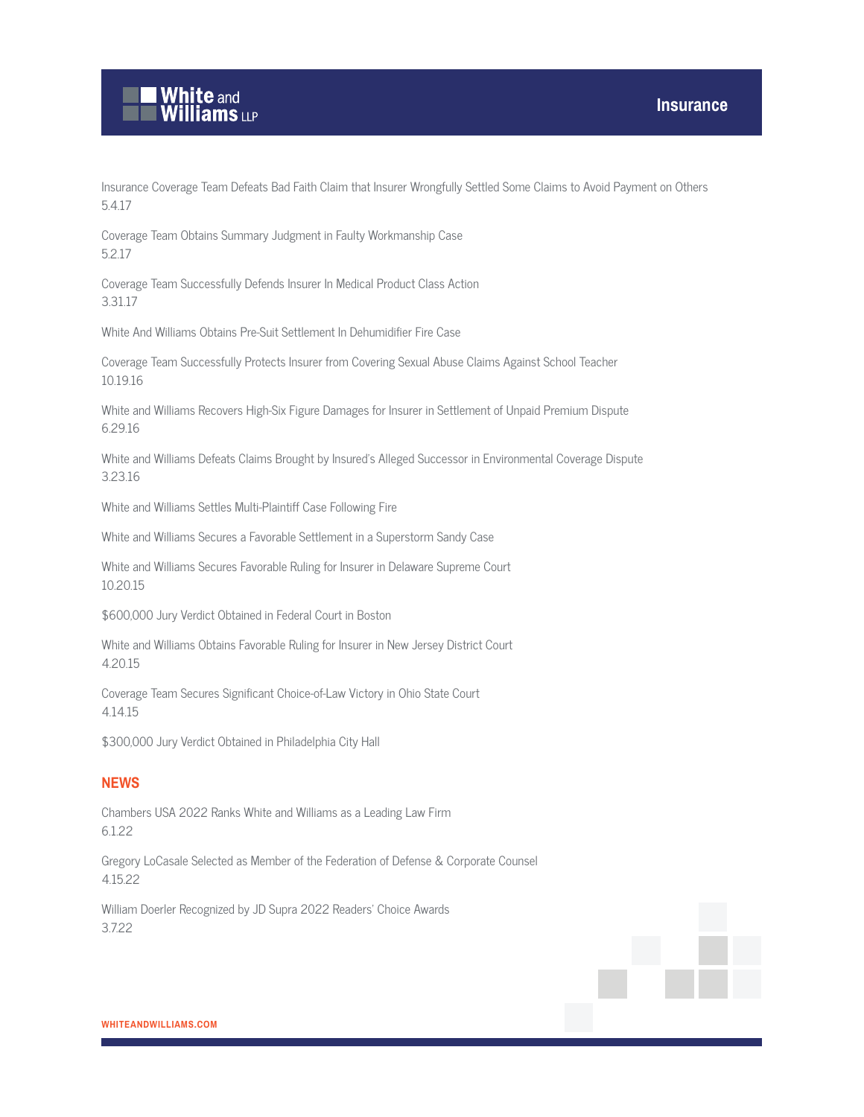

Insurance Coverage Team Defeats Bad Faith Claim that Insurer Wrongfully Settled Some Claims to Avoid Payment on Others 5.4.17

Coverage Team Obtains Summary Judgment in Faulty Workmanship Case 5.2.17

Coverage Team Successfully Defends Insurer In Medical Product Class Action 3.31.17

White And Williams Obtains Pre-Suit Settlement In Dehumidifier Fire Case

Coverage Team Successfully Protects Insurer from Covering Sexual Abuse Claims Against School Teacher 10.19.16

White and Williams Recovers High-Six Figure Damages for Insurer in Settlement of Unpaid Premium Dispute 6.29.16

White and Williams Defeats Claims Brought by Insured's Alleged Successor in Environmental Coverage Dispute 3.23.16

White and Williams Settles Multi-Plaintiff Case Following Fire

White and Williams Secures a Favorable Settlement in a Superstorm Sandy Case

White and Williams Secures Favorable Ruling for Insurer in Delaware Supreme Court 10.20.15

\$600,000 Jury Verdict Obtained in Federal Court in Boston

White and Williams Obtains Favorable Ruling for Insurer in New Jersey District Court 4.20.15

Coverage Team Secures Significant Choice-of-Law Victory in Ohio State Court 4.14.15

\$300,000 Jury Verdict Obtained in Philadelphia City Hall

#### **NEWS**

Chambers USA 2022 Ranks White and Williams as a Leading Law Firm 6.1.22

Gregory LoCasale Selected as Member of the Federation of Defense & Corporate Counsel 4.15.22

William Doerler Recognized by JD Supra 2022 Readers' Choice Awards 3.7.22

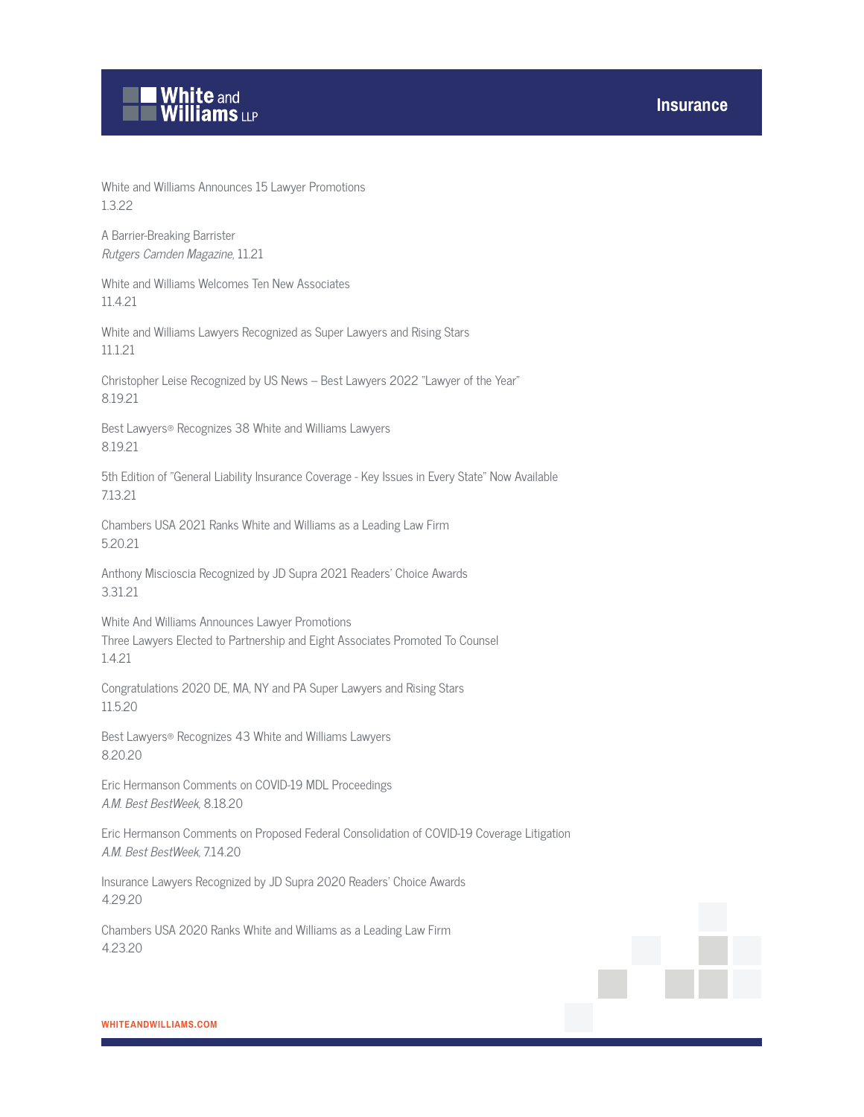# **White and Williams LLP**

White and Williams Announces 15 Lawyer Promotions 1.3.22

A Barrier-Breaking Barrister Rutgers Camden Magazine, 11.21

White and Williams Welcomes Ten New Associates 11.4.21

White and Williams Lawyers Recognized as Super Lawyers and Rising Stars 11.1.21

Christopher Leise Recognized by US News – Best Lawyers 2022 "Lawyer of the Year" 8.19.21

Best Lawyers® Recognizes 38 White and Williams Lawyers 8.19.21

5th Edition of "General Liability Insurance Coverage - Key Issues in Every State" Now Available 7.13.21

Chambers USA 2021 Ranks White and Williams as a Leading Law Firm 5.20.21

Anthony Miscioscia Recognized by JD Supra 2021 Readers' Choice Awards 3.31.21

White And Williams Announces Lawyer Promotions Three Lawyers Elected to Partnership and Eight Associates Promoted To Counsel 1.4.21

Congratulations 2020 DE, MA, NY and PA Super Lawyers and Rising Stars 11.5.20

Best Lawyers® Recognizes 43 White and Williams Lawyers 8.20.20

Eric Hermanson Comments on COVID-19 MDL Proceedings A.M. Best BestWeek, 8.18.20

Eric Hermanson Comments on Proposed Federal Consolidation of COVID-19 Coverage Litigation A.M. Best BestWeek, 7.14.20

Insurance Lawyers Recognized by JD Supra 2020 Readers' Choice Awards 4.29.20

Chambers USA 2020 Ranks White and Williams as a Leading Law Firm 4.23.20

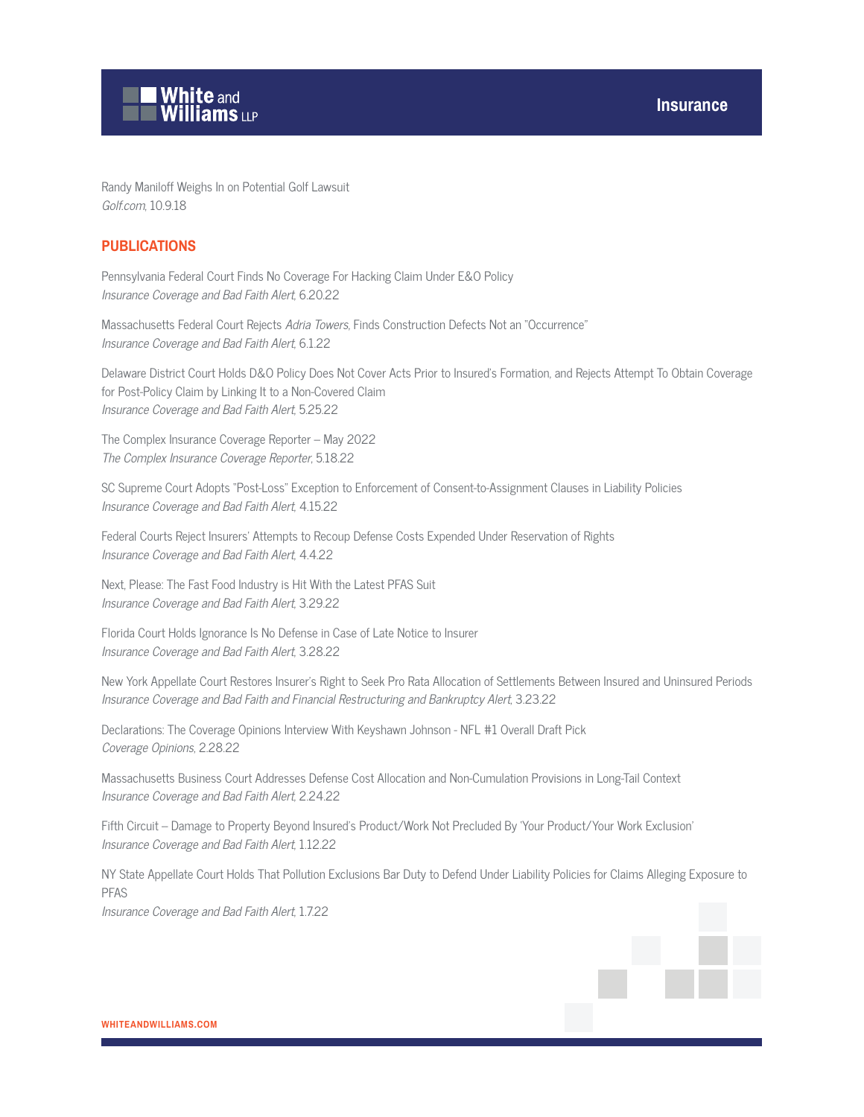



Randy Maniloff Weighs In on Potential Golf Lawsuit Golf.com, 10.9.18

#### **PUBLICATIONS**

Pennsylvania Federal Court Finds No Coverage For Hacking Claim Under E&O Policy Insurance Coverage and Bad Faith Alert, 6.20.22

Massachusetts Federal Court Rejects Adria Towers, Finds Construction Defects Not an "Occurrence" Insurance Coverage and Bad Faith Alert, 6.1.22

Delaware District Court Holds D&O Policy Does Not Cover Acts Prior to Insured's Formation, and Rejects Attempt To Obtain Coverage for Post-Policy Claim by Linking It to a Non-Covered Claim Insurance Coverage and Bad Faith Alert, 5.25.22

The Complex Insurance Coverage Reporter – May 2022 The Complex Insurance Coverage Reporter, 5.18.22

SC Supreme Court Adopts "Post-Loss" Exception to Enforcement of Consent-to-Assignment Clauses in Liability Policies Insurance Coverage and Bad Faith Alert, 4.15.22

Federal Courts Reject Insurers' Attempts to Recoup Defense Costs Expended Under Reservation of Rights Insurance Coverage and Bad Faith Alert, 4.4.22

Next, Please: The Fast Food Industry is Hit With the Latest PFAS Suit Insurance Coverage and Bad Faith Alert, 3.29.22

Florida Court Holds Ignorance Is No Defense in Case of Late Notice to Insurer Insurance Coverage and Bad Faith Alert, 3.28.22

New York Appellate Court Restores Insurer's Right to Seek Pro Rata Allocation of Settlements Between Insured and Uninsured Periods Insurance Coverage and Bad Faith and Financial Restructuring and Bankruptcy Alert, 3.23.22

Declarations: The Coverage Opinions Interview With Keyshawn Johnson - NFL #1 Overall Draft Pick Coverage Opinions, 2.28.22

Massachusetts Business Court Addresses Defense Cost Allocation and Non-Cumulation Provisions in Long-Tail Context Insurance Coverage and Bad Faith Alert, 2.24.22

Fifth Circuit -- Damage to Property Beyond Insured's Product/Work Not Precluded By 'Your Product/Your Work Exclusion' Insurance Coverage and Bad Faith Alert, 1.12.22

NY State Appellate Court Holds That Pollution Exclusions Bar Duty to Defend Under Liability Policies for Claims Alleging Exposure to PFAS Insurance Coverage and Bad Faith Alert, 1.7.22

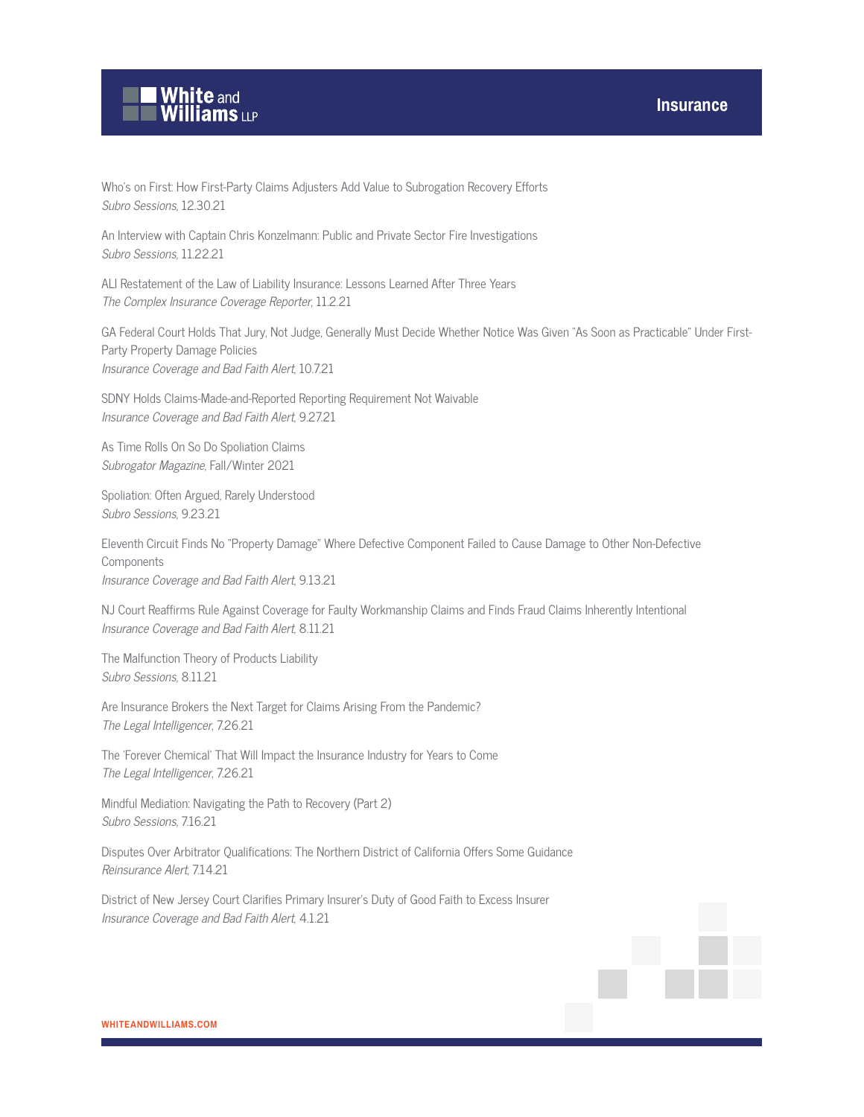

Who's on First: How First-Party Claims Adjusters Add Value to Subrogation Recovery Efforts Subro Sessions, 12.30.21

An Interview with Captain Chris Konzelmann: Public and Private Sector Fire Investigations Subro Sessions, 11.22.21

ALI Restatement of the Law of Liability Insurance: Lessons Learned After Three Years The Complex Insurance Coverage Reporter, 11.2.21

GA Federal Court Holds That Jury, Not Judge, Generally Must Decide Whether Notice Was Given "As Soon as Practicable" Under First-Party Property Damage Policies Insurance Coverage and Bad Faith Alert, 10.7.21

SDNY Holds Claims-Made-and-Reported Reporting Requirement Not Waivable Insurance Coverage and Bad Faith Alert, 9.27.21

As Time Rolls On So Do Spoliation Claims Subrogator Magazine, Fall/Winter 2021

Spoliation: Often Argued, Rarely Understood Subro Sessions, 9.23.21

Eleventh Circuit Finds No "Property Damage" Where Defective Component Failed to Cause Damage to Other Non-Defective **Components** Insurance Coverage and Bad Faith Alert, 9.13.21

NJ Court Reaffirms Rule Against Coverage for Faulty Workmanship Claims and Finds Fraud Claims Inherently Intentional Insurance Coverage and Bad Faith Alert, 8.11.21

The Malfunction Theory of Products Liability Subro Sessions, 8.11.21

Are Insurance Brokers the Next Target for Claims Arising From the Pandemic? The Legal Intelligencer, 7.26.21

The 'Forever Chemical' That Will Impact the Insurance Industry for Years to Come The Legal Intelligencer, 7.26.21

Mindful Mediation: Navigating the Path to Recovery (Part 2) Subro Sessions, 7.16.21

Disputes Over Arbitrator Qualifications: The Northern District of California Offers Some Guidance Reinsurance Alert, 7.14.21

District of New Jersey Court Clarifies Primary Insurer's Duty of Good Faith to Excess Insurer Insurance Coverage and Bad Faith Alert, 4.1.21

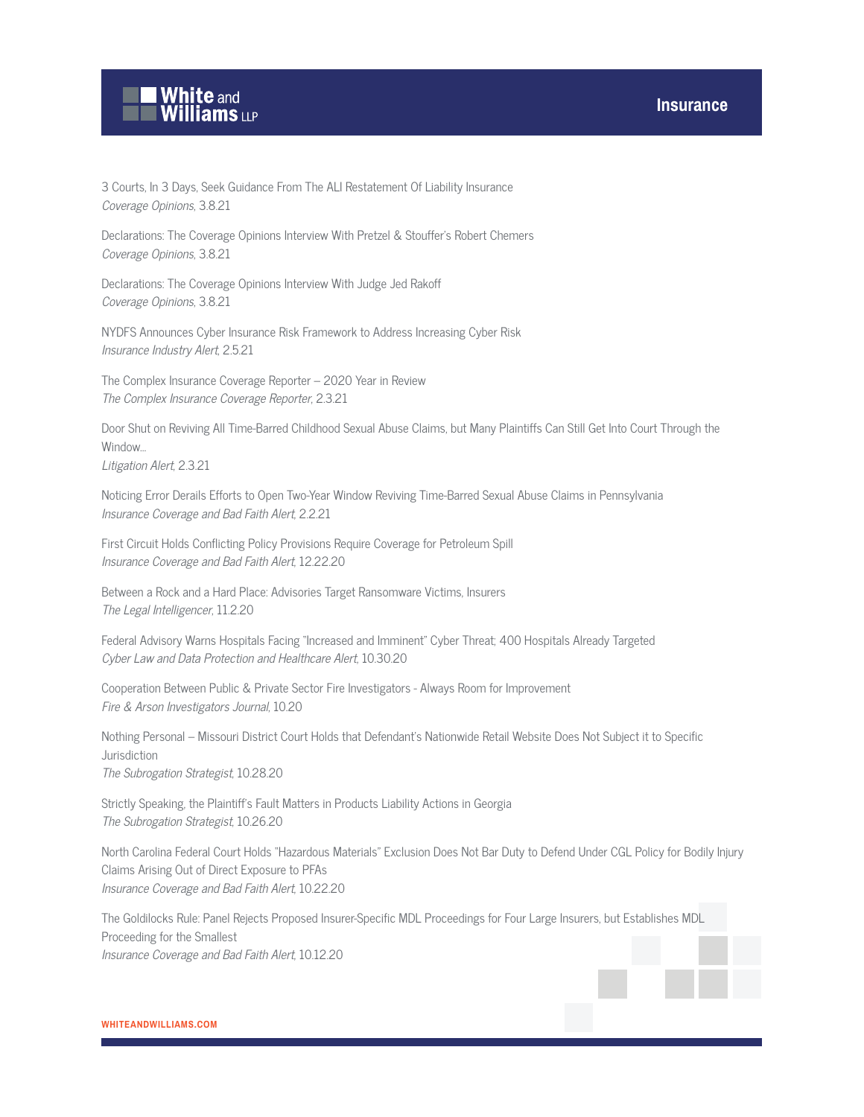

3 Courts, In 3 Days, Seek Guidance From The ALI Restatement Of Liability Insurance Coverage Opinions, 3.8.21

Declarations: The Coverage Opinions Interview With Pretzel & Stouffer's Robert Chemers Coverage Opinions, 3.8.21

Declarations: The Coverage Opinions Interview With Judge Jed Rakoff Coverage Opinions, 3.8.21

NYDFS Announces Cyber Insurance Risk Framework to Address Increasing Cyber Risk Insurance Industry Alert, 2.5.21

The Complex Insurance Coverage Reporter – 2020 Year in Review The Complex Insurance Coverage Reporter, 2.3.21

Door Shut on Reviving All Time-Barred Childhood Sexual Abuse Claims, but Many Plaintiffs Can Still Get Into Court Through the Window…

Litigation Alert, 2.3.21

Noticing Error Derails Efforts to Open Two-Year Window Reviving Time-Barred Sexual Abuse Claims in Pennsylvania Insurance Coverage and Bad Faith Alert, 2.2.21

First Circuit Holds Conflicting Policy Provisions Require Coverage for Petroleum Spill Insurance Coverage and Bad Faith Alert, 12.22.20

Between a Rock and a Hard Place: Advisories Target Ransomware Victims, Insurers The Legal Intelligencer, 11.2.20

Federal Advisory Warns Hospitals Facing "Increased and Imminent" Cyber Threat; 400 Hospitals Already Targeted Cyber Law and Data Protection and Healthcare Alert, 10.30.20

Cooperation Between Public & Private Sector Fire Investigators - Always Room for Improvement Fire & Arson Investigators Journal, 10.20

Nothing Personal – Missouri District Court Holds that Defendant's Nationwide Retail Website Does Not Subject it to Specific Jurisdiction

The Subrogation Strategist, 10.28.20

Strictly Speaking, the Plaintiff's Fault Matters in Products Liability Actions in Georgia The Subrogation Strategist, 10.26.20

North Carolina Federal Court Holds "Hazardous Materials" Exclusion Does Not Bar Duty to Defend Under CGL Policy for Bodily Injury Claims Arising Out of Direct Exposure to PFAs Insurance Coverage and Bad Faith Alert, 10.22.20

The Goldilocks Rule: Panel Rejects Proposed Insurer-Specific MDL Proceedings for Four Large Insurers, but Establishes MDL Proceeding for the Smallest Insurance Coverage and Bad Faith Alert, 10.12.20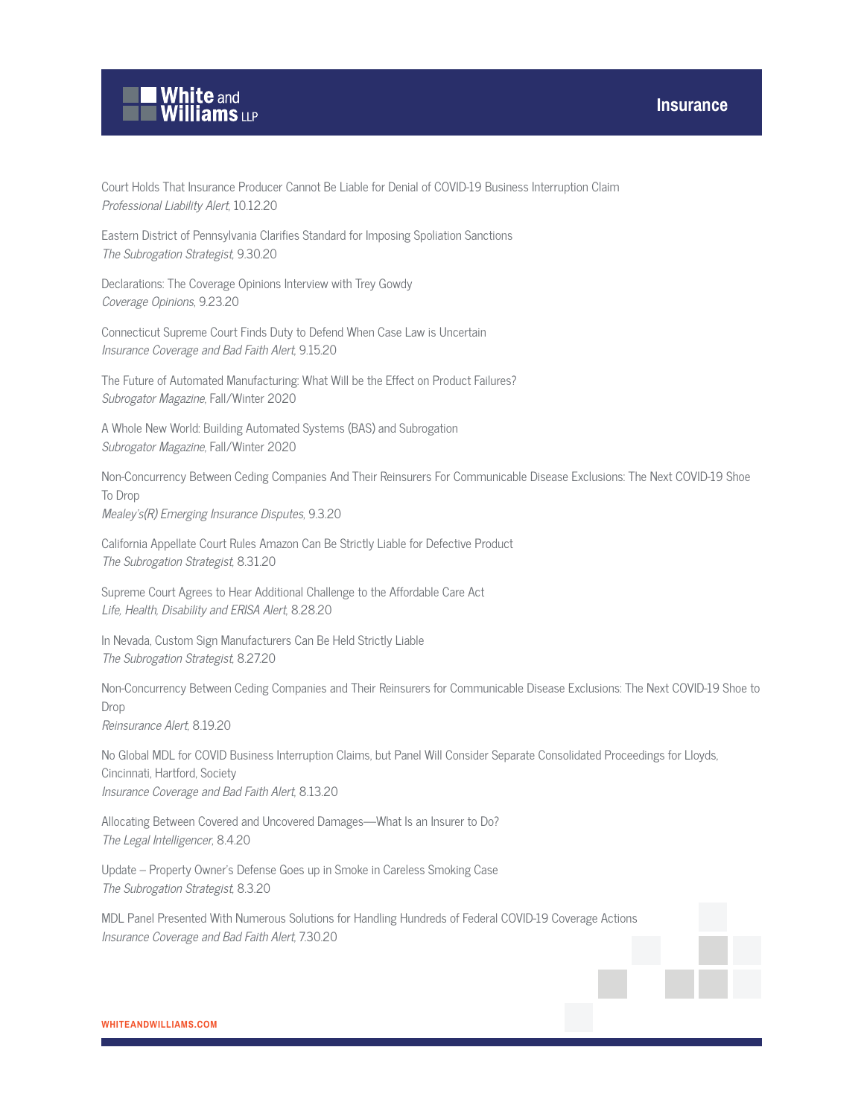

Court Holds That Insurance Producer Cannot Be Liable for Denial of COVID-19 Business Interruption Claim Professional Liability Alert, 10.12.20

Eastern District of Pennsylvania Clarifies Standard for Imposing Spoliation Sanctions The Subrogation Strategist, 9.30.20

Declarations: The Coverage Opinions Interview with Trey Gowdy Coverage Opinions, 9.23.20

Connecticut Supreme Court Finds Duty to Defend When Case Law is Uncertain Insurance Coverage and Bad Faith Alert, 9.15.20

The Future of Automated Manufacturing: What Will be the Effect on Product Failures? Subrogator Magazine, Fall/Winter 2020

A Whole New World: Building Automated Systems (BAS) and Subrogation Subrogator Magazine, Fall/Winter 2020

Non-Concurrency Between Ceding Companies And Their Reinsurers For Communicable Disease Exclusions: The Next COVID-19 Shoe To Drop Mealey's(R) Emerging Insurance Disputes, 9.3.20

California Appellate Court Rules Amazon Can Be Strictly Liable for Defective Product The Subrogation Strategist, 8.31.20

Supreme Court Agrees to Hear Additional Challenge to the Affordable Care Act Life, Health, Disability and ERISA Alert, 8.28.20

In Nevada, Custom Sign Manufacturers Can Be Held Strictly Liable The Subrogation Strategist, 8.27.20

Non-Concurrency Between Ceding Companies and Their Reinsurers for Communicable Disease Exclusions: The Next COVID-19 Shoe to Drop Reinsurance Alert, 8.19.20

No Global MDL for COVID Business Interruption Claims, but Panel Will Consider Separate Consolidated Proceedings for Lloyds, Cincinnati, Hartford, Society Insurance Coverage and Bad Faith Alert, 8.13.20

Allocating Between Covered and Uncovered Damages—What Is an Insurer to Do? The Legal Intelligencer, 8.4.20

Update – Property Owner's Defense Goes up in Smoke in Careless Smoking Case The Subrogation Strategist, 8.3.20

MDL Panel Presented With Numerous Solutions for Handling Hundreds of Federal COVID-19 Coverage Actions Insurance Coverage and Bad Faith Alert, 7.30.20

#### **WHITEANDWILLIAMS.COM**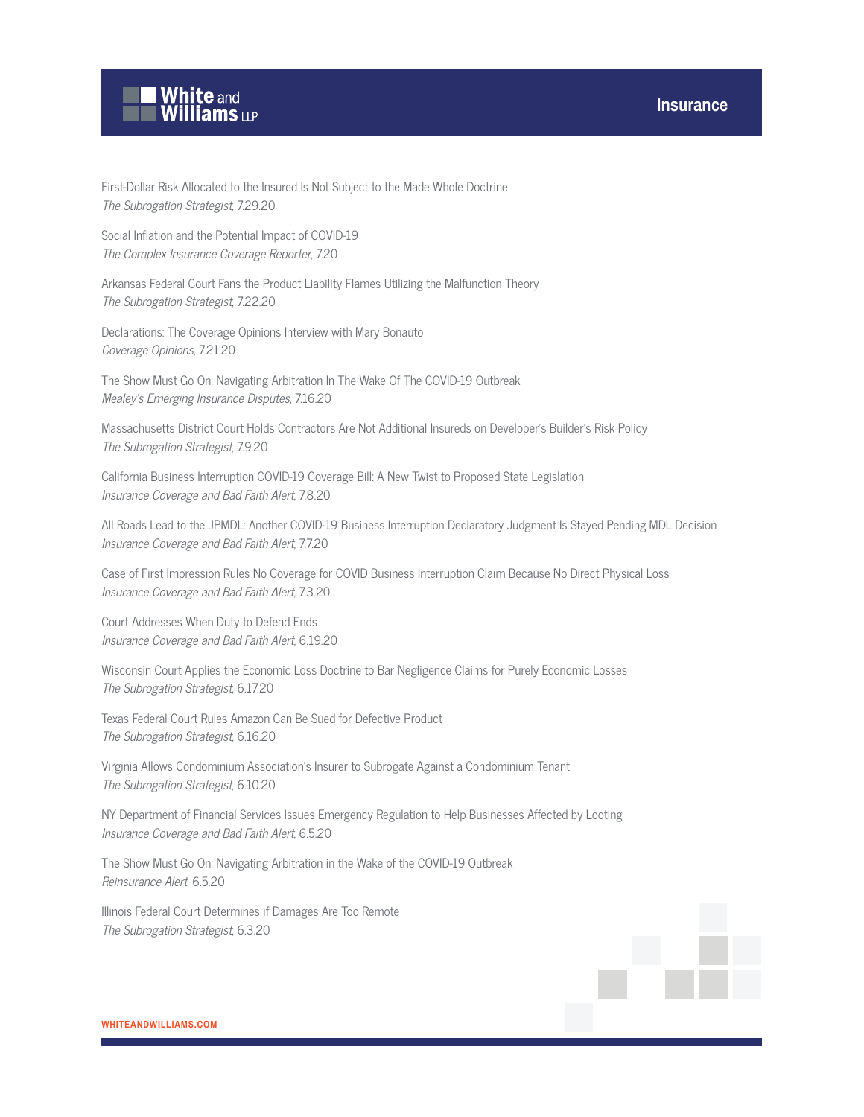

First-Dollar Risk Allocated to the Insured Is Not Subject to the Made Whole Doctrine The Subrogation Strategist, 7.29.20

Social Inflation and the Potential Impact of COVID-19 The Complex Insurance Coverage Reporter, 7.20

Arkansas Federal Court Fans the Product Liability Flames Utilizing the Malfunction Theory The Subrogation Strategist, 7.22.20

Declarations: The Coverage Opinions Interview with Mary Bonauto Coverage Opinions, 7.21.20

The Show Must Go On: Navigating Arbitration In The Wake Of The COVID-19 Outbreak Mealey's Emerging Insurance Disputes, 7.16.20

Massachusetts District Court Holds Contractors Are Not Additional Insureds on Developer's Builder's Risk Policy The Subrogation Strategist, 7.9.20

California Business Interruption COVID-19 Coverage Bill: A New Twist to Proposed State Legislation Insurance Coverage and Bad Faith Alert, 7.8.20

All Roads Lead to the JPMDL: Another COVID-19 Business Interruption Declaratory Judgment Is Stayed Pending MDL Decision Insurance Coverage and Bad Faith Alert, 7.7.20

Case of First Impression Rules No Coverage for COVID Business Interruption Claim Because No Direct Physical Loss Insurance Coverage and Bad Faith Alert, 7.3.20

Court Addresses When Duty to Defend Ends Insurance Coverage and Bad Faith Alert, 6.19.20

Wisconsin Court Applies the Economic Loss Doctrine to Bar Negligence Claims for Purely Economic Losses The Subrogation Strategist, 6.17.20

Texas Federal Court Rules Amazon Can Be Sued for Defective Product The Subrogation Strategist, 6.16.20

Virginia Allows Condominium Association's Insurer to Subrogate Against a Condominium Tenant The Subrogation Strategist, 6.10.20

NY Department of Financial Services Issues Emergency Regulation to Help Businesses Affected by Looting Insurance Coverage and Bad Faith Alert, 6.5.20

The Show Must Go On: Navigating Arbitration in the Wake of the COVID-19 Outbreak Reinsurance Alert, 6.5.20

Illinois Federal Court Determines if Damages Are Too Remote The Subrogation Strategist, 6.3.20

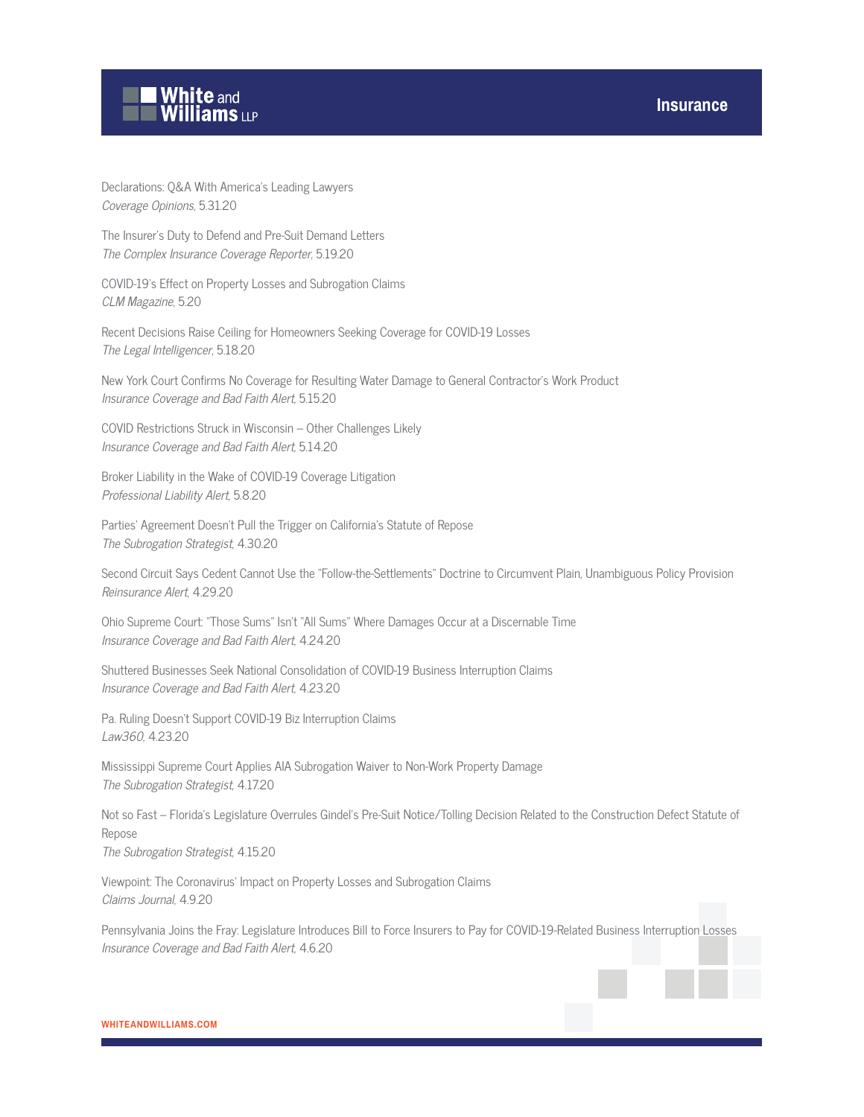# **White and<br>Williams LLP**

Declarations: Q&A With America's Leading Lawyers Coverage Opinions, 5.31.20

The Insurer's Duty to Defend and Pre-Suit Demand Letters The Complex Insurance Coverage Reporter, 5.19.20

COVID-19's Effect on Property Losses and Subrogation Claims CLM Magazine, 5.20

Recent Decisions Raise Ceiling for Homeowners Seeking Coverage for COVID-19 Losses The Legal Intelligencer, 5.18.20

New York Court Confirms No Coverage for Resulting Water Damage to General Contractor's Work Product Insurance Coverage and Bad Faith Alert, 5.15.20

COVID Restrictions Struck in Wisconsin – Other Challenges Likely Insurance Coverage and Bad Faith Alert, 5.14.20

Broker Liability in the Wake of COVID-19 Coverage Litigation Professional Liability Alert, 5.8.20

Parties' Agreement Doesn't Pull the Trigger on California's Statute of Repose The Subrogation Strategist, 4.30.20

Second Circuit Says Cedent Cannot Use the "Follow-the-Settlements" Doctrine to Circumvent Plain, Unambiguous Policy Provision Reinsurance Alert, 4.29.20

Ohio Supreme Court: "Those Sums" Isn't "All Sums" Where Damages Occur at a Discernable Time Insurance Coverage and Bad Faith Alert, 4.24.20

Shuttered Businesses Seek National Consolidation of COVID-19 Business Interruption Claims Insurance Coverage and Bad Faith Alert, 4.23.20

Pa. Ruling Doesn't Support COVID-19 Biz Interruption Claims Law360, 4.23.20

Mississippi Supreme Court Applies AIA Subrogation Waiver to Non-Work Property Damage The Subrogation Strategist, 4.17.20

Not so Fast – Florida's Legislature Overrules Gindel's Pre-Suit Notice/Tolling Decision Related to the Construction Defect Statute of Repose The Subrogation Strategist, 4.15.20

Viewpoint: The Coronavirus' Impact on Property Losses and Subrogation Claims Claims Journal, 4.9.20

Pennsylvania Joins the Fray: Legislature Introduces Bill to Force Insurers to Pay for COVID-19-Related Business Interruption Losses Insurance Coverage and Bad Faith Alert, 4.6.20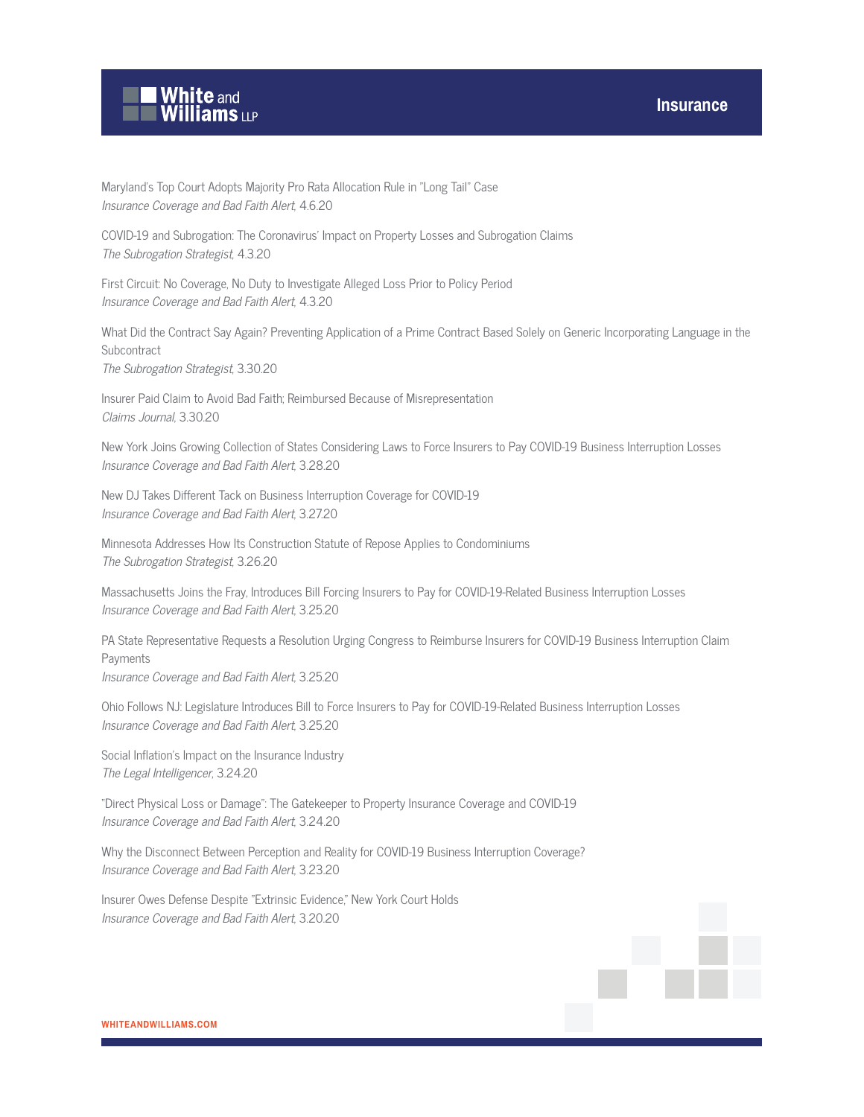

Maryland's Top Court Adopts Majority Pro Rata Allocation Rule in "Long Tail" Case Insurance Coverage and Bad Faith Alert, 4.6.20

COVID-19 and Subrogation: The Coronavirus' Impact on Property Losses and Subrogation Claims The Subrogation Strategist, 4.3.20

First Circuit: No Coverage, No Duty to Investigate Alleged Loss Prior to Policy Period Insurance Coverage and Bad Faith Alert, 4.3.20

What Did the Contract Say Again? Preventing Application of a Prime Contract Based Solely on Generic Incorporating Language in the **Subcontract** 

The Subrogation Strategist, 3.30.20

Insurer Paid Claim to Avoid Bad Faith; Reimbursed Because of Misrepresentation Claims Journal, 3.30.20

New York Joins Growing Collection of States Considering Laws to Force Insurers to Pay COVID-19 Business Interruption Losses Insurance Coverage and Bad Faith Alert, 3.28.20

New DJ Takes Different Tack on Business Interruption Coverage for COVID-19 Insurance Coverage and Bad Faith Alert, 3.27.20

Minnesota Addresses How Its Construction Statute of Repose Applies to Condominiums The Subrogation Strategist, 3.26.20

Massachusetts Joins the Fray, Introduces Bill Forcing Insurers to Pay for COVID-19-Related Business Interruption Losses Insurance Coverage and Bad Faith Alert, 3.25.20

PA State Representative Requests a Resolution Urging Congress to Reimburse Insurers for COVID-19 Business Interruption Claim Payments Insurance Coverage and Bad Faith Alert, 3.25.20

Ohio Follows NJ: Legislature Introduces Bill to Force Insurers to Pay for COVID-19-Related Business Interruption Losses Insurance Coverage and Bad Faith Alert, 3.25.20

Social Inflation's Impact on the Insurance Industry The Legal Intelligencer, 3.24.20

"Direct Physical Loss or Damage": The Gatekeeper to Property Insurance Coverage and COVID-19 Insurance Coverage and Bad Faith Alert, 3.24.20

Why the Disconnect Between Perception and Reality for COVID-19 Business Interruption Coverage? Insurance Coverage and Bad Faith Alert, 3.23.20

Insurer Owes Defense Despite "Extrinsic Evidence," New York Court Holds Insurance Coverage and Bad Faith Alert, 3.20.20

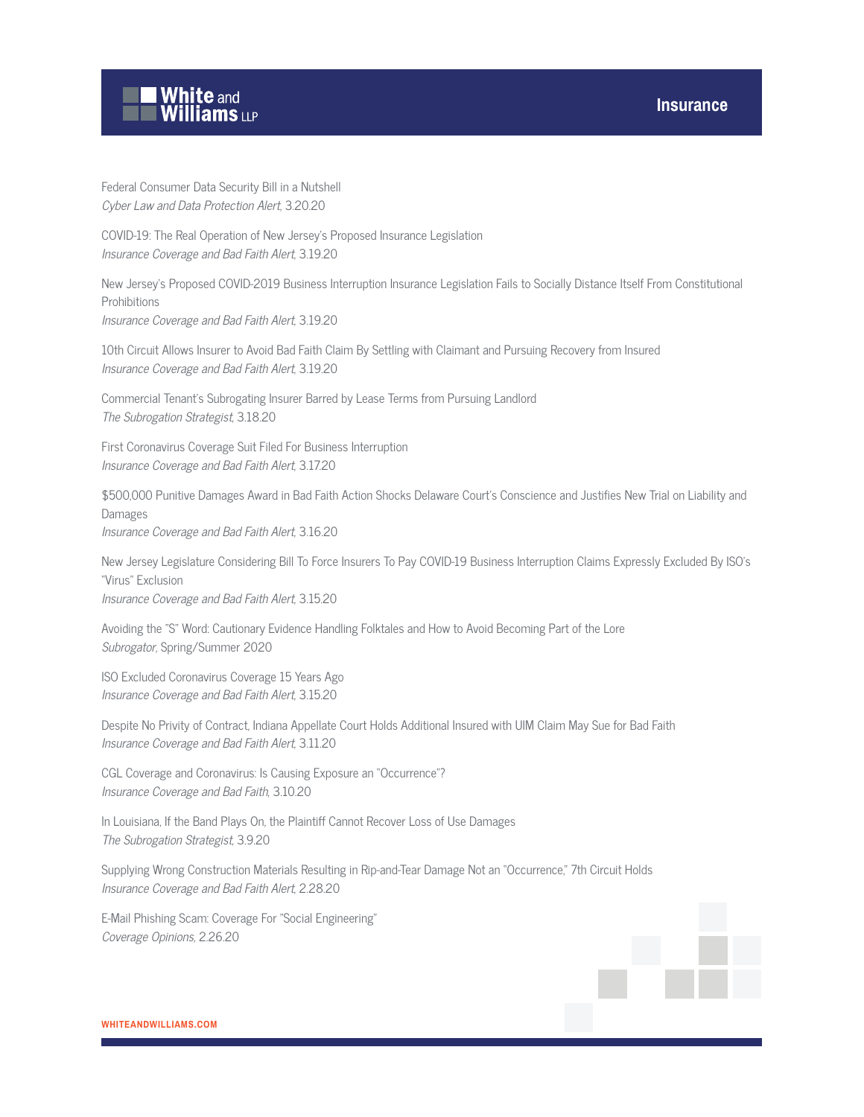

Federal Consumer Data Security Bill in a Nutshell Cyber Law and Data Protection Alert, 3.20.20

COVID-19: The Real Operation of New Jersey's Proposed Insurance Legislation Insurance Coverage and Bad Faith Alert, 3.19.20

New Jersey's Proposed COVID-2019 Business Interruption Insurance Legislation Fails to Socially Distance Itself From Constitutional Prohibitions

Insurance Coverage and Bad Faith Alert, 3.19.20

10th Circuit Allows Insurer to Avoid Bad Faith Claim By Settling with Claimant and Pursuing Recovery from Insured Insurance Coverage and Bad Faith Alert, 3.19.20

Commercial Tenant's Subrogating Insurer Barred by Lease Terms from Pursuing Landlord The Subrogation Strategist, 3.18.20

First Coronavirus Coverage Suit Filed For Business Interruption Insurance Coverage and Bad Faith Alert, 3.17.20

\$500,000 Punitive Damages Award in Bad Faith Action Shocks Delaware Court's Conscience and Justifies New Trial on Liability and Damages Insurance Coverage and Bad Faith Alert, 3.16.20

New Jersey Legislature Considering Bill To Force Insurers To Pay COVID-19 Business Interruption Claims Expressly Excluded By ISO's "Virus" Exclusion Insurance Coverage and Bad Faith Alert, 3.15.20

Avoiding the "S" Word: Cautionary Evidence Handling Folktales and How to Avoid Becoming Part of the Lore Subrogator, Spring/Summer 2020

ISO Excluded Coronavirus Coverage 15 Years Ago Insurance Coverage and Bad Faith Alert, 3.15.20

Despite No Privity of Contract, Indiana Appellate Court Holds Additional Insured with UIM Claim May Sue for Bad Faith Insurance Coverage and Bad Faith Alert, 3.11.20

CGL Coverage and Coronavirus: Is Causing Exposure an "Occurrence"? Insurance Coverage and Bad Faith, 3.10.20

In Louisiana, If the Band Plays On, the Plaintiff Cannot Recover Loss of Use Damages The Subrogation Strategist, 3.9.20

Supplying Wrong Construction Materials Resulting in Rip-and-Tear Damage Not an "Occurrence," 7th Circuit Holds Insurance Coverage and Bad Faith Alert, 2.28.20

E-Mail Phishing Scam: Coverage For "Social Engineering" Coverage Opinions, 2.26.20

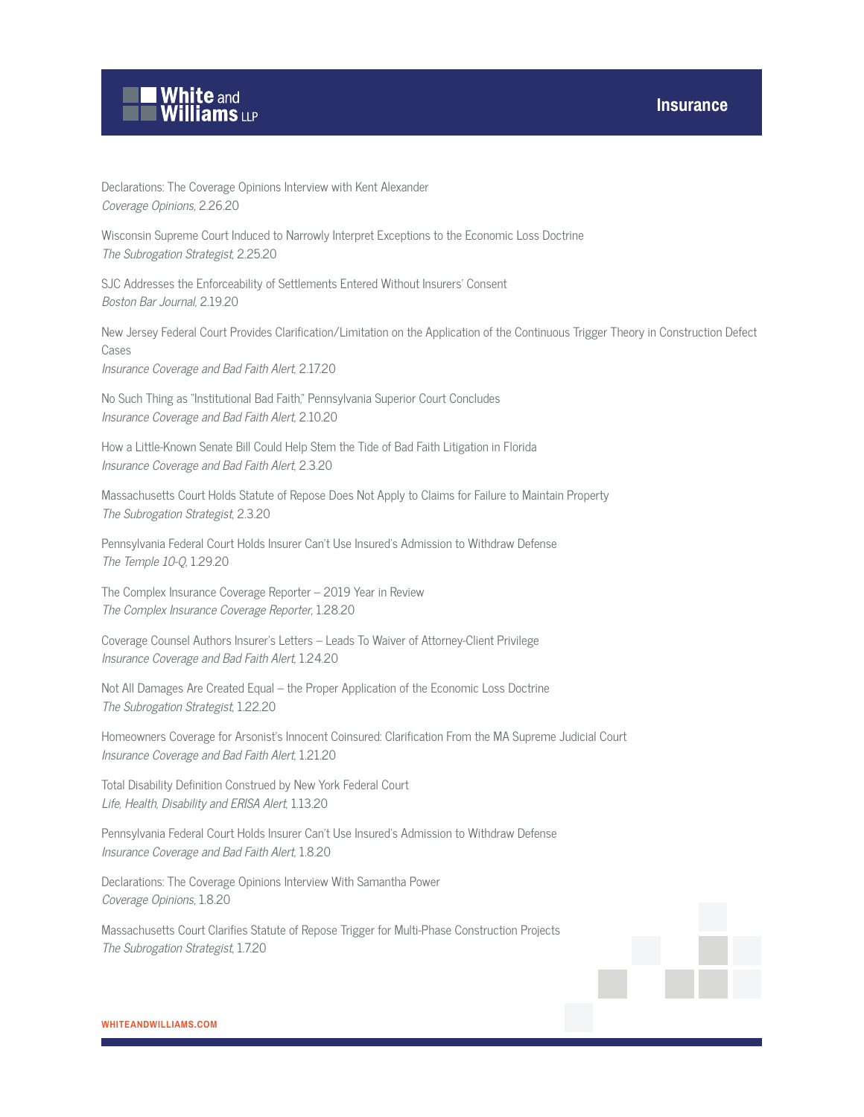

Declarations: The Coverage Opinions Interview with Kent Alexander Coverage Opinions, 2.26.20

Wisconsin Supreme Court Induced to Narrowly Interpret Exceptions to the Economic Loss Doctrine The Subrogation Strategist, 2.25.20

SJC Addresses the Enforceability of Settlements Entered Without Insurers' Consent Boston Bar Journal, 2.19.20

New Jersey Federal Court Provides Clarification/Limitation on the Application of the Continuous Trigger Theory in Construction Defect Cases

Insurance Coverage and Bad Faith Alert, 2.17.20

No Such Thing as "Institutional Bad Faith," Pennsylvania Superior Court Concludes Insurance Coverage and Bad Faith Alert, 2.10.20

How a Little-Known Senate Bill Could Help Stem the Tide of Bad Faith Litigation in Florida Insurance Coverage and Bad Faith Alert, 2.3.20

Massachusetts Court Holds Statute of Repose Does Not Apply to Claims for Failure to Maintain Property The Subrogation Strategist, 2.3.20

Pennsylvania Federal Court Holds Insurer Can't Use Insured's Admission to Withdraw Defense The Temple 10-Q, 1.29.20

The Complex Insurance Coverage Reporter – 2019 Year in Review The Complex Insurance Coverage Reporter, 1.28.20

Coverage Counsel Authors Insurer's Letters – Leads To Waiver of Attorney-Client Privilege Insurance Coverage and Bad Faith Alert, 1.24.20

Not All Damages Are Created Equal – the Proper Application of the Economic Loss Doctrine The Subrogation Strategist, 1.22.20

Homeowners Coverage for Arsonist's Innocent Coinsured: Clarification From the MA Supreme Judicial Court Insurance Coverage and Bad Faith Alert, 1.21.20

Total Disability Definition Construed by New York Federal Court Life, Health, Disability and ERISA Alert, 1.13.20

Pennsylvania Federal Court Holds Insurer Can't Use Insured's Admission to Withdraw Defense Insurance Coverage and Bad Faith Alert, 1.8.20

Declarations: The Coverage Opinions Interview With Samantha Power Coverage Opinions, 1.8.20

Massachusetts Court Clarifies Statute of Repose Trigger for Multi-Phase Construction Projects The Subrogation Strategist, 1.7.20

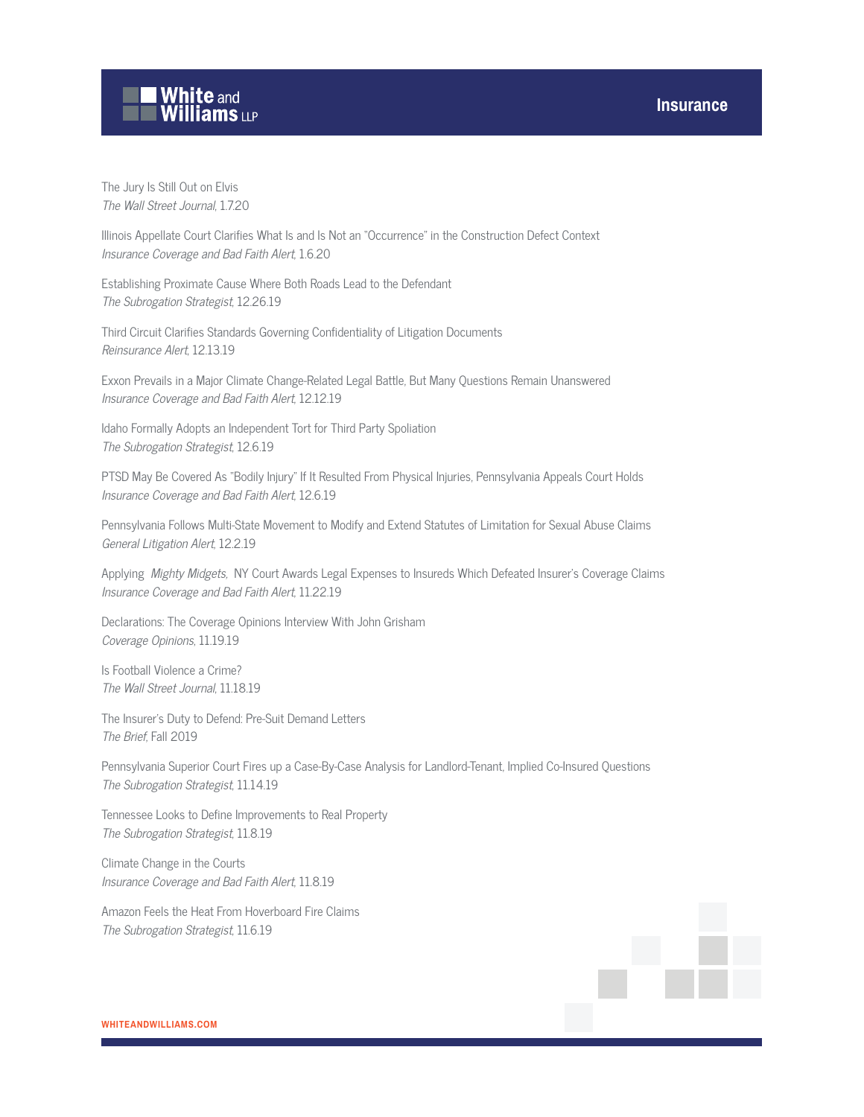#### **Insurance**



The Jury Is Still Out on Elvis The Wall Street Journal, 1.7.20

Illinois Appellate Court Clarifies What Is and Is Not an "Occurrence" in the Construction Defect Context Insurance Coverage and Bad Faith Alert, 1.6.20

Establishing Proximate Cause Where Both Roads Lead to the Defendant The Subrogation Strategist, 12.26.19

Third Circuit Clarifies Standards Governing Confidentiality of Litigation Documents Reinsurance Alert, 12.13.19

Exxon Prevails in a Major Climate Change-Related Legal Battle, But Many Questions Remain Unanswered Insurance Coverage and Bad Faith Alert, 12.12.19

Idaho Formally Adopts an Independent Tort for Third Party Spoliation The Subrogation Strategist, 12.6.19

PTSD May Be Covered As "Bodily Injury" If It Resulted From Physical Injuries, Pennsylvania Appeals Court Holds Insurance Coverage and Bad Faith Alert, 12.6.19

Pennsylvania Follows Multi-State Movement to Modify and Extend Statutes of Limitation for Sexual Abuse Claims General Litigation Alert, 12.2.19

Applying Mighty Midgets, NY Court Awards Legal Expenses to Insureds Which Defeated Insurer's Coverage Claims Insurance Coverage and Bad Faith Alert, 11.22.19

Declarations: The Coverage Opinions Interview With John Grisham Coverage Opinions, 11.19.19

Is Football Violence a Crime? The Wall Street Journal, 11.18.19

The Insurer's Duty to Defend: Pre-Suit Demand Letters The Brief, Fall 2019

Pennsylvania Superior Court Fires up a Case-By-Case Analysis for Landlord-Tenant, Implied Co-Insured Questions The Subrogation Strategist, 11.14.19

Tennessee Looks to Define Improvements to Real Property The Subrogation Strategist, 11.8.19

Climate Change in the Courts Insurance Coverage and Bad Faith Alert, 11.8.19

Amazon Feels the Heat From Hoverboard Fire Claims The Subrogation Strategist, 11.6.19

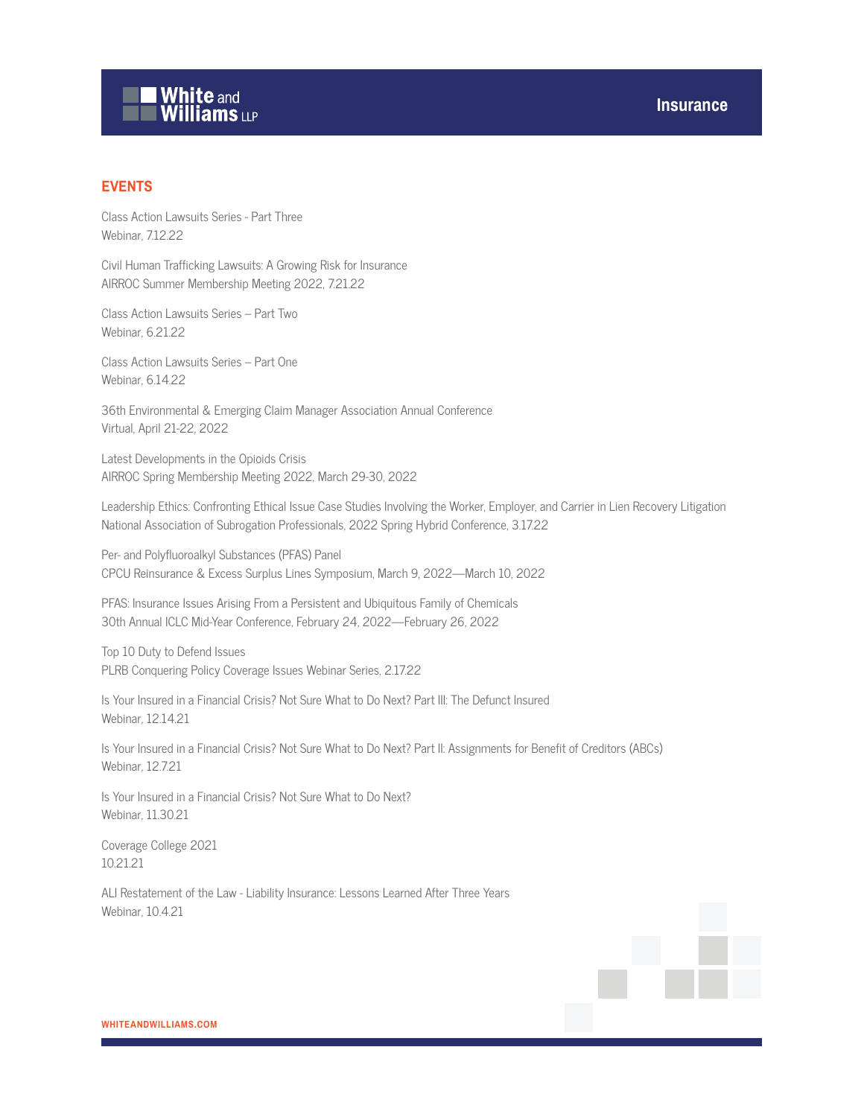# White and<br>Williams LLP

#### **EVENTS**

Class Action Lawsuits Series - Part Three Webinar, 7.12.22

Civil Human Trafficking Lawsuits: A Growing Risk for Insurance AIRROC Summer Membership Meeting 2022, 7.21.22

Class Action Lawsuits Series – Part Two Webinar, 6.21.22

Class Action Lawsuits Series – Part One Webinar, 6.14.22

36th Environmental & Emerging Claim Manager Association Annual Conference Virtual, April 21-22, 2022

Latest Developments in the Opioids Crisis AIRROC Spring Membership Meeting 2022, March 29-30, 2022

Leadership Ethics: Confronting Ethical Issue Case Studies Involving the Worker, Employer, and Carrier in Lien Recovery Litigation National Association of Subrogation Professionals, 2022 Spring Hybrid Conference, 3.17.22

Per- and Polyfluoroalkyl Substances (PFAS) Panel CPCU Reinsurance & Excess Surplus Lines Symposium, March 9, 2022—March 10, 2022

PFAS: Insurance Issues Arising From a Persistent and Ubiquitous Family of Chemicals 30th Annual ICLC Mid-Year Conference, February 24, 2022—February 26, 2022

Top 10 Duty to Defend Issues PLRB Conquering Policy Coverage Issues Webinar Series, 2.17.22

Is Your Insured in a Financial Crisis? Not Sure What to Do Next? Part III: The Defunct Insured Webinar, 12.14.21

Is Your Insured in a Financial Crisis? Not Sure What to Do Next? Part II: Assignments for Benefit of Creditors (ABCs) Webinar, 12.7.21

Is Your Insured in a Financial Crisis? Not Sure What to Do Next? Webinar, 11.30.21

Coverage College 2021 10.21.21

ALI Restatement of the Law - Liability Insurance: Lessons Learned After Three Years Webinar, 10.4.21

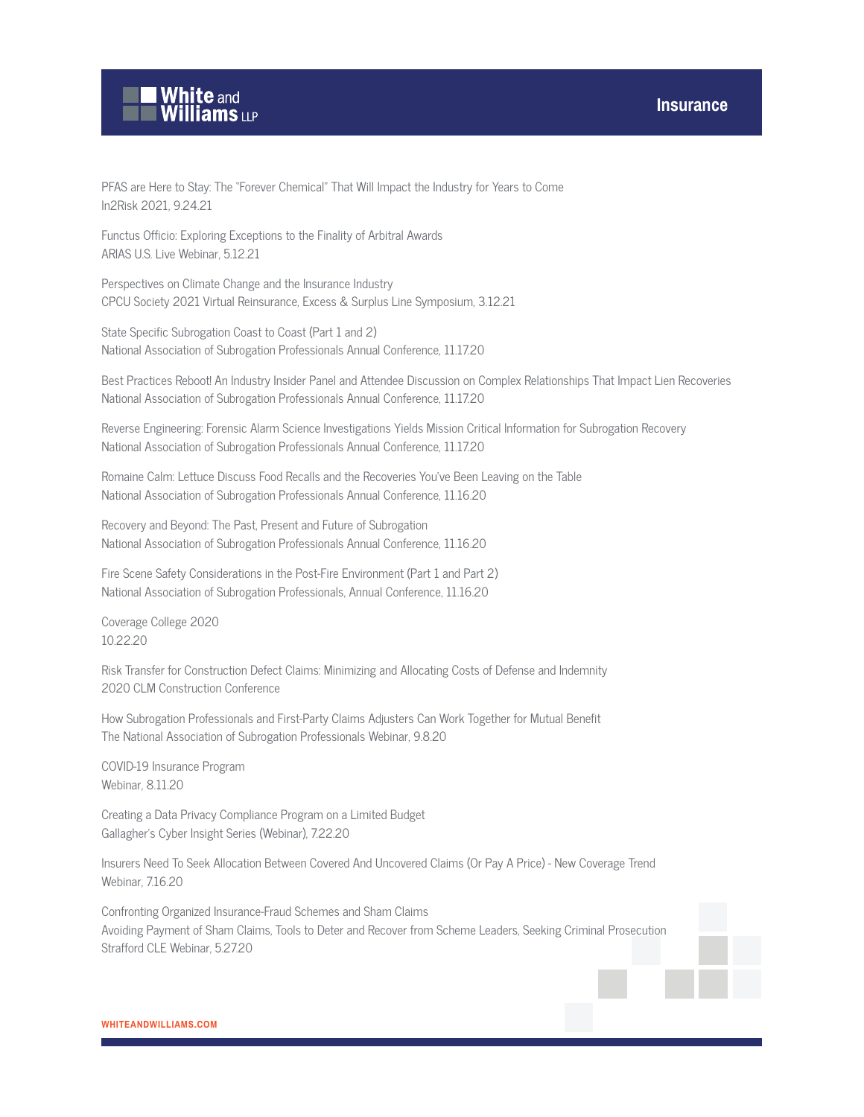

PFAS are Here to Stay: The "Forever Chemical" That Will Impact the Industry for Years to Come In2Risk 2021, 9.24.21

Functus Officio: Exploring Exceptions to the Finality of Arbitral Awards ARIAS U.S. Live Webinar, 5.12.21

Perspectives on Climate Change and the Insurance Industry CPCU Society 2021 Virtual Reinsurance, Excess & Surplus Line Symposium, 3.12.21

State Specific Subrogation Coast to Coast (Part 1 and 2) National Association of Subrogation Professionals Annual Conference, 11.17.20

Best Practices Reboot! An Industry Insider Panel and Attendee Discussion on Complex Relationships That Impact Lien Recoveries National Association of Subrogation Professionals Annual Conference, 11.17.20

Reverse Engineering: Forensic Alarm Science Investigations Yields Mission Critical Information for Subrogation Recovery National Association of Subrogation Professionals Annual Conference, 11.17.20

Romaine Calm: Lettuce Discuss Food Recalls and the Recoveries You've Been Leaving on the Table National Association of Subrogation Professionals Annual Conference, 11.16.20

Recovery and Beyond: The Past, Present and Future of Subrogation National Association of Subrogation Professionals Annual Conference, 11.16.20

Fire Scene Safety Considerations in the Post-Fire Environment (Part 1 and Part 2) National Association of Subrogation Professionals, Annual Conference, 11.16.20

Coverage College 2020 10.22.20

Risk Transfer for Construction Defect Claims: Minimizing and Allocating Costs of Defense and Indemnity 2020 CLM Construction Conference

How Subrogation Professionals and First-Party Claims Adjusters Can Work Together for Mutual Benefit The National Association of Subrogation Professionals Webinar, 9.8.20

COVID-19 Insurance Program Webinar, 8.11.20

Creating a Data Privacy Compliance Program on a Limited Budget Gallagher's Cyber Insight Series (Webinar), 7.22.20

Insurers Need To Seek Allocation Between Covered And Uncovered Claims (Or Pay A Price) - New Coverage Trend Webinar, 7.16.20

Confronting Organized Insurance-Fraud Schemes and Sham Claims Avoiding Payment of Sham Claims, Tools to Deter and Recover from Scheme Leaders, Seeking Criminal Prosecution Strafford CLE Webinar, 5.27.20